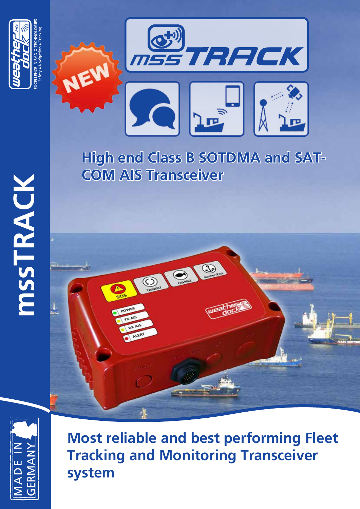



# **High end Class B SOTDMA and SAT-COM AIS Transceiver**





**Most reliable and best performing Fleet Tracking and Monitoring Transceiver system**